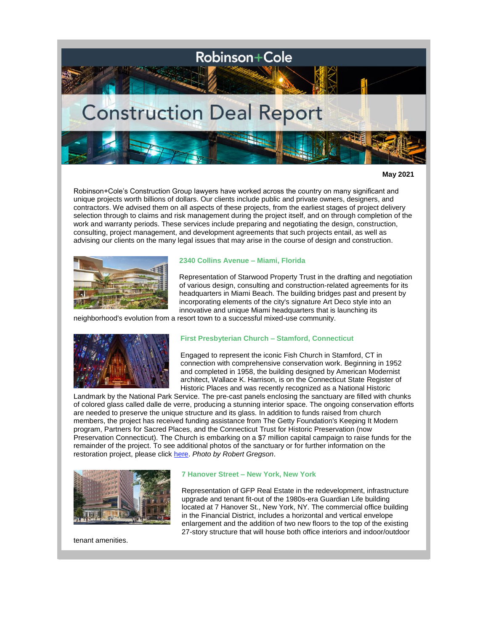

**May 2021**

Robinson+Cole's Construction Group lawyers have worked across the country on many significant and unique projects worth billions of dollars. Our clients include public and private owners, designers, and contractors. We advised them on all aspects of these projects, from the earliest stages of project delivery selection through to claims and risk management during the project itself, and on through completion of the work and warranty periods. These services include preparing and negotiating the design, construction, consulting, project management, and development agreements that such projects entail, as well as advising our clients on the many legal issues that may arise in the course of design and construction.



## **2340 Collins Avenue – Miami, Florida**

Representation of Starwood Property Trust in the drafting and negotiation of various design, consulting and construction-related agreements for its headquarters in Miami Beach. The building bridges past and present by incorporating elements of the city's signature Art Deco style into an innovative and unique Miami headquarters that is launching its

neighborhood's evolution from a resort town to a successful mixed-use community.



## **First Presbyterian Church – Stamford, Connecticut**

Engaged to represent the iconic Fish Church in Stamford, CT in connection with comprehensive conservation work. Beginning in 1952 and completed in 1958, the building designed by American Modernist architect, Wallace K. Harrison, is on the Connecticut State Register of Historic Places and was recently recognized as a National Historic

Landmark by the National Park Service. The pre-cast panels enclosing the sanctuary are filled with chunks of colored glass called dalle de verre, producing a stunning interior space. The ongoing conservation efforts are needed to preserve the unique structure and its glass. In addition to funds raised from church members, the project has received funding assistance from The Getty Foundation's Keeping It Modern program, Partners for Sacred Places, and the Connecticut Trust for Historic Preservation (now Preservation Connecticut). The Church is embarking on a \$7 million capital campaign to raise funds for the remainder of the project. To see additional photos of the sanctuary or for further information on the restoration project, please click [here.](https://highlandgreenfoundation.org/capital-campaign/) *Photo by Robert Gregson*.



#### **7 Hanover Street – New York, New York**

Representation of GFP Real Estate in the redevelopment, infrastructure upgrade and tenant fit-out of the 1980s-era Guardian Life building located at 7 Hanover St., New York, NY. The commercial office building in the Financial District, includes a horizontal and vertical envelope enlargement and the addition of two new floors to the top of the existing 27-story structure that will house both office interiors and indoor/outdoor

tenant amenities.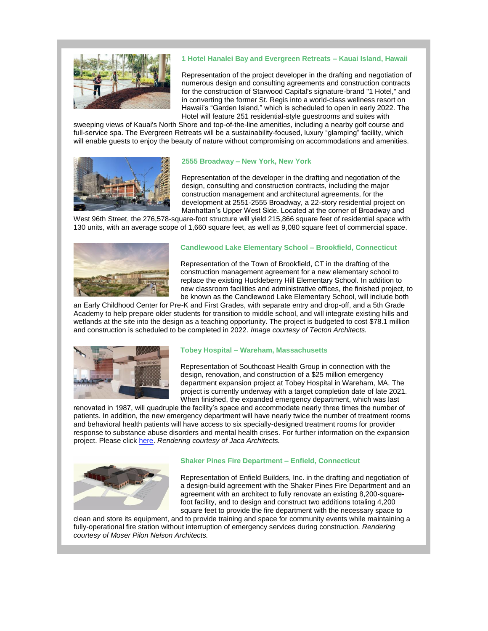

## **1 Hotel Hanalei Bay and Evergreen Retreats – Kauai Island, Hawaii**

Representation of the project developer in the drafting and negotiation of numerous design and consulting agreements and construction contracts for the construction of Starwood Capital's signature-brand "1 Hotel," and in converting the former St. Regis into a world-class wellness resort on Hawaii's "Garden Island," which is scheduled to open in early 2022. The Hotel will feature 251 residential-style guestrooms and suites with

sweeping views of Kauai's North Shore and top-of-the-line amenities, including a nearby golf course and full-service spa. The Evergreen Retreats will be a sustainability-focused, luxury "glamping" facility, which will enable guests to enjoy the beauty of nature without compromising on accommodations and amenities.



### **2555 Broadway – New York, New York**

Representation of the developer in the drafting and negotiation of the design, consulting and construction contracts, including the major construction management and architectural agreements, for the development at 2551-2555 Broadway, a 22-story residential project on Manhattan's Upper West Side. Located at the corner of Broadway and

West 96th Street, the 276,578-square-foot structure will yield 215,866 square feet of residential space with 130 units, with an average scope of 1,660 square feet, as well as 9,080 square feet of commercial space.



### **Candlewood Lake Elementary School – Brookfield, Connecticut**

Representation of the Town of Brookfield, CT in the drafting of the construction management agreement for a new elementary school to replace the existing Huckleberry Hill Elementary School. In addition to new classroom facilities and administrative offices, the finished project, to be known as the Candlewood Lake Elementary School, will include both

an Early Childhood Center for Pre-K and First Grades, with separate entry and drop-off, and a 5th Grade Academy to help prepare older students for transition to middle school, and will integrate existing hills and wetlands at the site into the design as a teaching opportunity. The project is budgeted to cost \$78.1 million and construction is scheduled to be completed in 2022. *Image courtesy of Tecton Architects.*



## **Tobey Hospital – Wareham, Massachusetts**

Representation of Southcoast Health Group in connection with the design, renovation, and construction of a \$25 million emergency department expansion project at Tobey Hospital in Wareham, MA. The project is currently underway with a target completion date of late 2021. When finished, the expanded emergency department, which was last

renovated in 1987, will quadruple the facility's space and accommodate nearly three times the number of patients. In addition, the new emergency department will have nearly twice the number of treatment rooms and behavioral health patients will have access to six specially-designed treatment rooms for provider response to substance abuse disorders and mental health crises. For further information on the expansion project. Please click [here.](https://www.southcoast.org/tobey-hospital-expansion/) *Rendering courtesy of Jaca Architects.*



### **Shaker Pines Fire Department – Enfield, Connecticut**

Representation of Enfield Builders, Inc. in the drafting and negotiation of a design-build agreement with the Shaker Pines Fire Department and an agreement with an architect to fully renovate an existing 8,200-squarefoot facility, and to design and construct two additions totaling 4,200 square feet to provide the fire department with the necessary space to

clean and store its equipment, and to provide training and space for community events while maintaining a fully-operational fire station without interruption of emergency services during construction. *Rendering courtesy of Moser Pilon Nelson Architects.*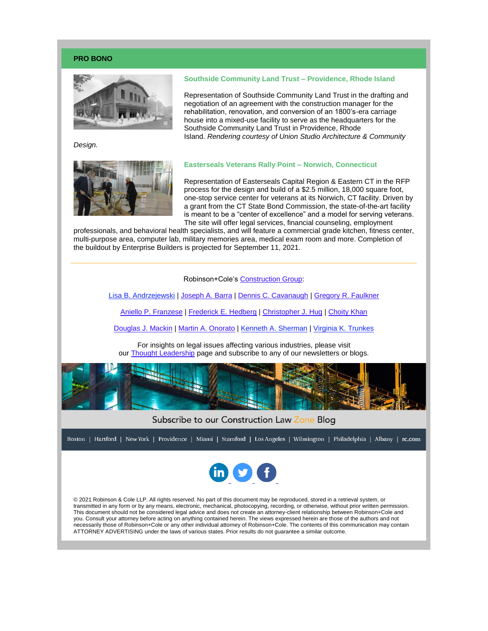## **PRO BONO**



*Design.*



# **Southside Community Land Trust – Providence, Rhode Island**

Representation of Southside Community Land Trust in the drafting and negotiation of an agreement with the construction manager for the rehabilitation, renovation, and conversion of an 1800's-era carriage house into a mixed-use facility to serve as the headquarters for the Southside Community Land Trust in Providence, Rhode Island. *Rendering courtesy of Union Studio Architecture & Community* 

### **Easterseals Veterans Rally Point – Norwich, Connecticut**

Representation of Easterseals Capital Region & Eastern CT in the RFP process for the design and build of a \$2.5 million, 18,000 square foot, one-stop service center for veterans at its Norwich, CT facility. Driven by a grant from the CT State Bond Commission, the state-of-the-art facility is meant to be a "center of excellence" and a model for serving veterans. The site will offer legal services, financial counseling, employment

professionals, and behavioral health specialists, and will feature a commercial grade kitchen, fitness center, multi-purpose area, computer lab, military memories area, medical exam room and more. Completion of the buildout by Enterprise Builders is projected for September 11, 2021.



[Lisa B. Andrzejewski](http://www.rc.com/people/LisaBAndrzejewski.cfm) | [Joseph A. Barra](http://www.rc.com/people/JosephABarra.cfm) | [Dennis C. Cavanaugh](http://www.rc.com/people/DennisCCavanaugh.cfm) | [Gregory R. Faulkner](http://www.rc.com/people/GregoryRFaulkner.cfm)

[Aniello P. Franzese](http://www.rc.com/people/AnielloPFranzese.cfm) | [Frederick E. Hedberg](http://www.rc.com/people/FrederickHedberg.cfm) | [Christopher J. Hug](http://www.rc.com/people/ChristopherJHug.cfm) | [Choity Khan](http://www.rc.com/people/ChoityKhan.cfm)

[Douglas J. Mackin](http://www.rc.com/people/DouglasJMackin.cfm) | [Martin A. Onorato](http://www.rc.com/people/MartinAOnorato.cfm) | [Kenneth A. Sherman](http://www.rc.com/people/KennethASherman.cfm) | [Virginia K. Trunkes](http://www.rc.com/people/VirginiaKTrunkes.cfm)

For insights on legal issues affecting various industries, please visit our [Thought Leadership](http://www.rc.com/subscribe-now.cfm) page and subscribe to any of our newsletters or blogs.



# Subscribe to our Construction Law Zone Blog

Boston | Hartford | New York | Providence | Miami | Stamford | Los Angeles | Wilmington | Philadelphia | Albany | rc.com



© 2021 Robinson & Cole LLP. All rights reserved. No part of this document may be reproduced, stored in a retrieval system, or transmitted in any form or by any means, electronic, mechanical, photocopying, recording, or otherwise, without prior written permission. This document should not be considered legal advice and does not create an attorney-client relationship between Robinson+Cole and you. Consult your attorney before acting on anything contained herein. The views expressed herein are those of the authors and not necessarily those of Robinson+Cole or any other individual attorney of Robinson+Cole. The contents of this communication may contain ATTORNEY ADVERTISING under the laws of various states. Prior results do not guarantee a similar outcome.